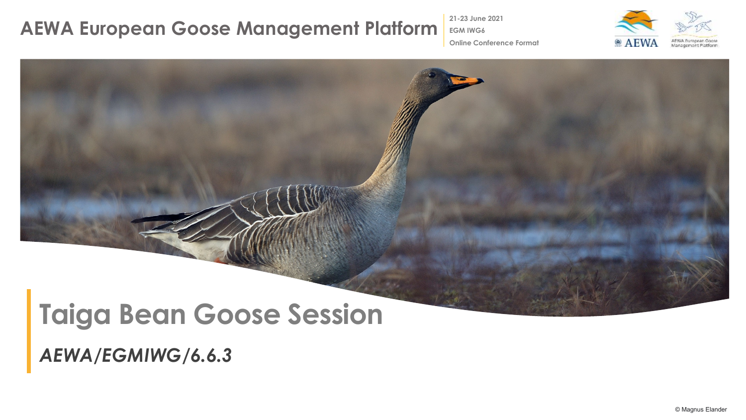**21-23 June 2021 EGM IWG6**

**Online Conference Format**





*AEWA/EGMIWG/6.6.3*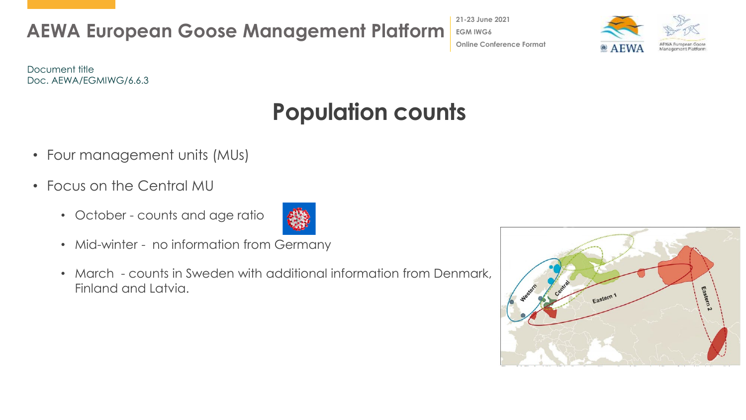**21-23 June 2021 EGM IWG6 Online Conference Format**



Document title Doc. AEWA/EGMIWG/6.6.3

## **Population counts**

- Four management units (MUs)
- Focus on the Central MU
	- October counts and age ratio



- Mid-winter no information from Germany
- March counts in Sweden with additional information from Denmark, Finland and Latvia.

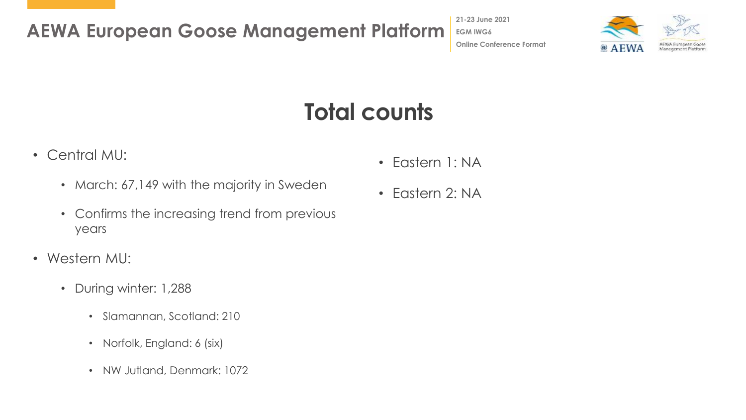**21-23 June 2021 EGM IWG6 Online Conference Format**



# **Total counts**

- Central MU:
	- March: 67,149 with the majority in Sweden
	- Confirms the increasing trend from previous years
- Western MU:
	- During winter: 1,288
		- Slamannan, Scotland: 210
		- Norfolk, England: 6 (six)
		- NW Jutland, Denmark: 1072
- Eastern 1: NA
- Eastern 2: NA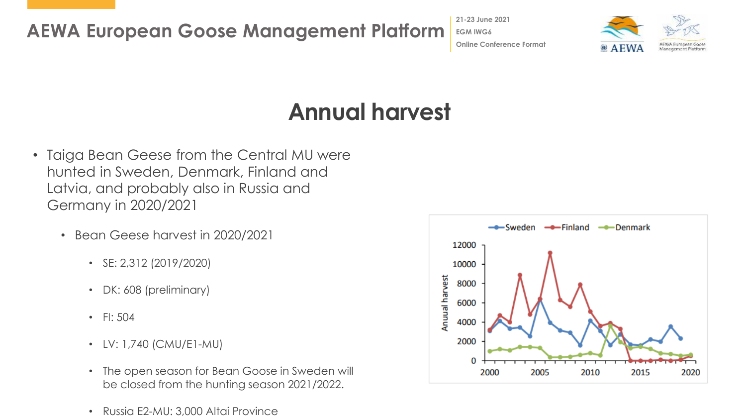**21-23 June 2021 EGM IWG6 Online Conference Format**



## **Annual harvest**

- Taiga Bean Geese from the Central MU were hunted in Sweden, Denmark, Finland and Latvia, and probably also in Russia and Germany in 2020/2021
	- Bean Geese harvest in 2020/2021
		- SE: 2,312 (2019/2020)
		- DK: 608 (preliminary)
		- FI: 504
		- LV: 1,740 (CMU/E1-MU)
		- The open season for Bean Goose in Sweden will be closed from the hunting season 2021/2022.
		- Russia E2-MU: 3,000 Altai Province

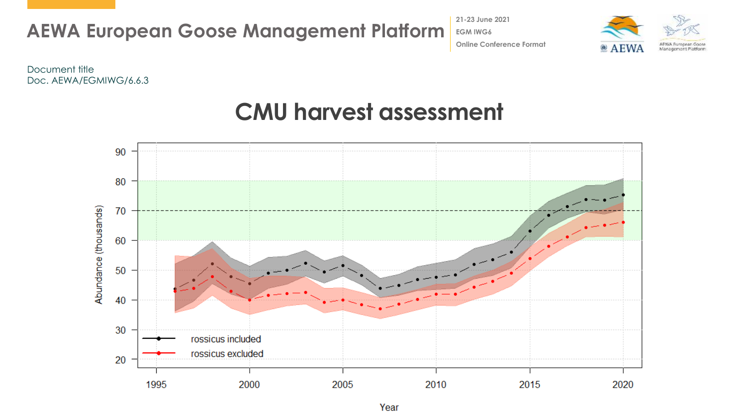

**21-23 June 2021 EGM IWG6 Online Conference Format**



Document title Doc. AEWA/EGMIWG/6.6.3



#### **CMU harvest assessment**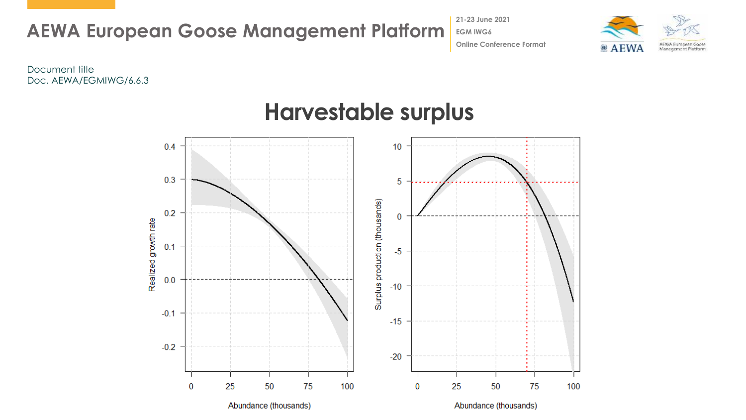

**21-23 June 2021 EGM IWG6 Online Conference Format**



Document title Doc. AEWA/EGMIWG/6.6.3



#### **Harvestable surplus**